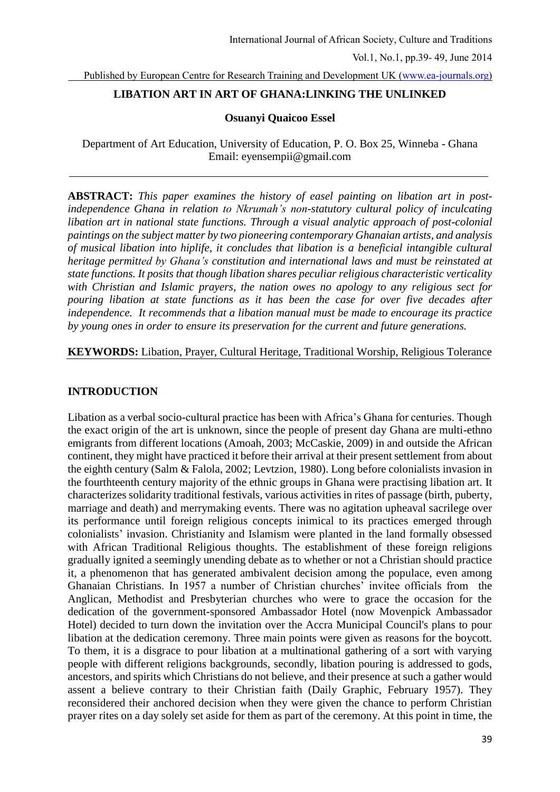Published by European Centre for Research Training and Development UK [\(www.ea-journals.org\)](http://www.ea-journals.org/)

# **LIBATION ART IN ART OF GHANA:LINKING THE UNLINKED**

## **Osuanyi Quaicoo Essel**

Department of Art Education, University of Education, P. O. Box 25, Winneba - Ghana Email: eyensempii@gmail.com

**ABSTRACT:** *This paper examines the history of easel painting on libation art in postindependence Ghana in relation to Nkrumah's non-statutory cultural policy of inculcating libation art in national state functions. Through a visual analytic approach of post-colonial paintings on the subject matter by two pioneering contemporary Ghanaian artists, and analysis of musical libation into hiplife, it concludes that libation is a beneficial intangible cultural heritage permitted by Ghana's constitution and international laws and must be reinstated at state functions. It posits that though libation shares peculiar religious characteristic verticality with Christian and Islamic prayers, the nation owes no apology to any religious sect for pouring libation at state functions as it has been the case for over five decades after independence. It recommends that a libation manual must be made to encourage its practice by young ones in order to ensure its preservation for the current and future generations.* 

# **KEYWORDS:** Libation, Prayer, Cultural Heritage, Traditional Worship, Religious Tolerance

## **INTRODUCTION**

Libation as a verbal socio-cultural practice has been with Africa's Ghana for centuries. Though the exact origin of the art is unknown, since the people of present day Ghana are multi-ethno emigrants from different locations (Amoah, 2003; McCaskie, 2009) in and outside the African continent, they might have practiced it before their arrival at their present settlement from about the eighth century (Salm & Falola, 2002; Levtzion, 1980). Long before colonialists invasion in the fourthteenth century majority of the ethnic groups in Ghana were practising libation art. It characterizes solidarity traditional festivals, various activities in rites of passage (birth, puberty, marriage and death) and merrymaking events. There was no agitation upheaval sacrilege over its performance until foreign religious concepts inimical to its practices emerged through colonialists' invasion. Christianity and Islamism were planted in the land formally obsessed with African Traditional Religious thoughts. The establishment of these foreign religions gradually ignited a seemingly unending debate as to whether or not a Christian should practice it, a phenomenon that has generated ambivalent decision among the populace, even among Ghanaian Christians. In 1957 a number of Christian churches' invitee officials from the Anglican, Methodist and Presbyterian churches who were to grace the occasion for the dedication of the government-sponsored Ambassador Hotel (now Movenpick Ambassador Hotel) decided to turn down the invitation over the Accra Municipal Council's plans to pour libation at the dedication ceremony. Three main points were given as reasons for the boycott. To them, it is a disgrace to pour libation at a multinational gathering of a sort with varying people with different religions backgrounds, secondly, libation pouring is addressed to gods, ancestors, and spirits which Christians do not believe, and their presence at such a gather would assent a believe contrary to their Christian faith (Daily Graphic, February 1957). They reconsidered their anchored decision when they were given the chance to perform Christian prayer rites on a day solely set aside for them as part of the ceremony. At this point in time, the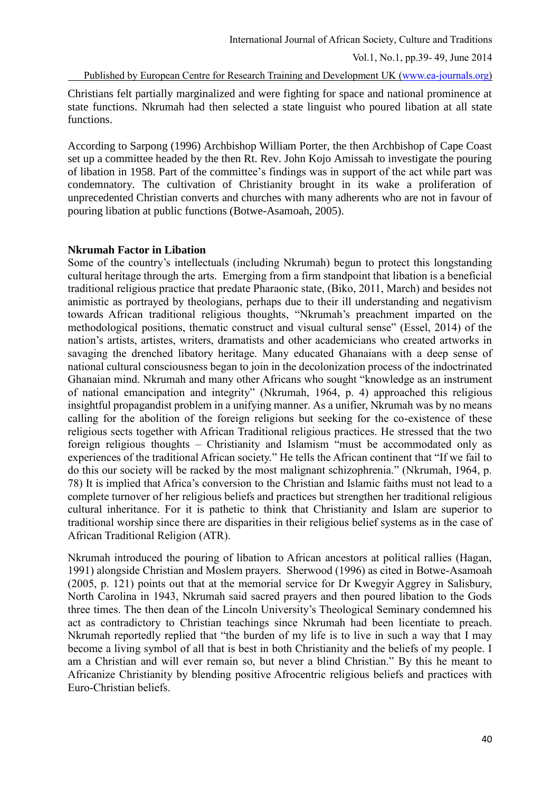Published by European Centre for Research Training and Development UK [\(www.ea-journals.org\)](http://www.ea-journals.org/)

Christians felt partially marginalized and were fighting for space and national prominence at state functions. Nkrumah had then selected a state linguist who poured libation at all state functions.

According to Sarpong (1996) Archbishop William Porter, the then Archbishop of Cape Coast set up a committee headed by the then Rt. Rev. John Kojo Amissah to investigate the pouring of libation in 1958. Part of the committee's findings was in support of the act while part was condemnatory. The cultivation of Christianity brought in its wake a proliferation of unprecedented Christian converts and churches with many adherents who are not in favour of pouring libation at public functions (Botwe-Asamoah, 2005).

## **Nkrumah Factor in Libation**

Some of the country's intellectuals (including Nkrumah) begun to protect this longstanding cultural heritage through the arts. Emerging from a firm standpoint that libation is a beneficial traditional religious practice that predate Pharaonic state, (Biko, 2011, March) and besides not animistic as portrayed by theologians, perhaps due to their ill understanding and negativism towards African traditional religious thoughts, "Nkrumah's preachment imparted on the methodological positions, thematic construct and visual cultural sense" (Essel, 2014) of the nation's artists, artistes, writers, dramatists and other academicians who created artworks in savaging the drenched libatory heritage. Many educated Ghanaians with a deep sense of national cultural consciousness began to join in the decolonization process of the indoctrinated Ghanaian mind. Nkrumah and many other Africans who sought "knowledge as an instrument of national emancipation and integrity" (Nkrumah, 1964, p. 4) approached this religious insightful propagandist problem in a unifying manner. As a unifier, Nkrumah was by no means calling for the abolition of the foreign religions but seeking for the co-existence of these religious sects together with African Traditional religious practices. He stressed that the two foreign religious thoughts – Christianity and Islamism "must be accommodated only as experiences of the traditional African society." He tells the African continent that "If we fail to do this our society will be racked by the most malignant schizophrenia." (Nkrumah, 1964, p. 78) It is implied that Africa's conversion to the Christian and Islamic faiths must not lead to a complete turnover of her religious beliefs and practices but strengthen her traditional religious cultural inheritance. For it is pathetic to think that Christianity and Islam are superior to traditional worship since there are disparities in their religious belief systems as in the case of African Traditional Religion (ATR).

Nkrumah introduced the pouring of libation to African ancestors at political rallies (Hagan, 1991) alongside Christian and Moslem prayers. Sherwood (1996) as cited in Botwe-Asamoah (2005, p. 121) points out that at the memorial service for Dr Kwegyir Aggrey in Salisbury, North Carolina in 1943, Nkrumah said sacred prayers and then poured libation to the Gods three times. The then dean of the Lincoln University's Theological Seminary condemned his act as contradictory to Christian teachings since Nkrumah had been licentiate to preach. Nkrumah reportedly replied that "the burden of my life is to live in such a way that I may become a living symbol of all that is best in both Christianity and the beliefs of my people. I am a Christian and will ever remain so, but never a blind Christian." By this he meant to Africanize Christianity by blending positive Afrocentric religious beliefs and practices with Euro-Christian beliefs.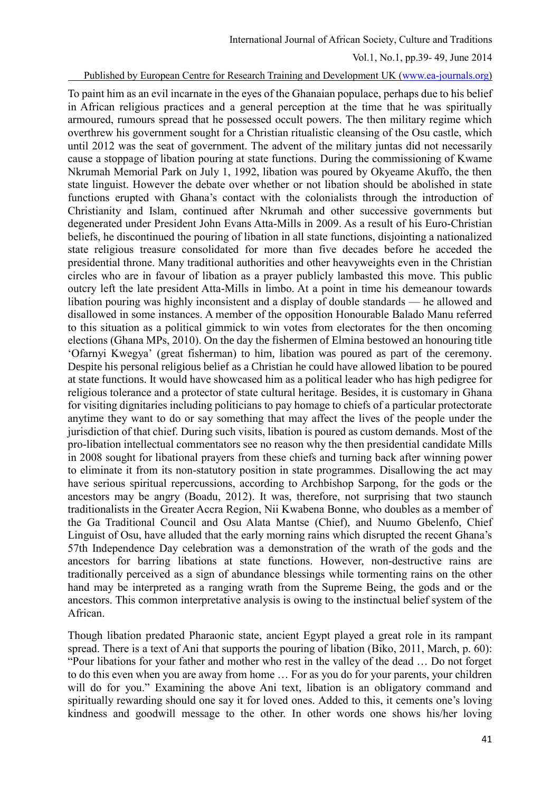## Published by European Centre for Research Training and Development UK [\(www.ea-journals.org\)](http://www.ea-journals.org/)

To paint him as an evil incarnate in the eyes of the Ghanaian populace, perhaps due to his belief in African religious practices and a general perception at the time that he was spiritually armoured, rumours spread that he possessed occult powers. The then military regime which overthrew his government sought for a Christian ritualistic cleansing of the Osu castle, which until 2012 was the seat of government. The advent of the military juntas did not necessarily cause a stoppage of libation pouring at state functions. During the commissioning of Kwame Nkrumah Memorial Park on July 1, 1992, libation was poured by Okyeame Akuffo, the then state linguist. However the debate over whether or not libation should be abolished in state functions erupted with Ghana's contact with the colonialists through the introduction of Christianity and Islam, continued after Nkrumah and other successive governments but degenerated under President John Evans Atta-Mills in 2009. As a result of his Euro-Christian beliefs, he discontinued the pouring of libation in all state functions, disjointing a nationalized state religious treasure consolidated for more than five decades before he acceded the presidential throne. Many traditional authorities and other heavyweights even in the Christian circles who are in favour of libation as a prayer publicly lambasted this move. This public outcry left the late president Atta-Mills in limbo. At a point in time his demeanour towards libation pouring was highly inconsistent and a display of double standards — he allowed and disallowed in some instances. A member of the opposition Honourable Balado Manu referred to this situation as a political gimmick to win votes from electorates for the then oncoming elections (Ghana MPs, 2010). On the day the fishermen of Elmina bestowed an honouring title 'Ofarnyi Kwegya' (great fisherman) to him, libation was poured as part of the ceremony. Despite his personal religious belief as a Christian he could have allowed libation to be poured at state functions. It would have showcased him as a political leader who has high pedigree for religious tolerance and a protector of state cultural heritage. Besides, it is customary in Ghana for visiting dignitaries including politicians to pay homage to chiefs of a particular protectorate anytime they want to do or say something that may affect the lives of the people under the jurisdiction of that chief. During such visits, libation is poured as custom demands. Most of the pro-libation intellectual commentators see no reason why the then presidential candidate Mills in 2008 sought for libational prayers from these chiefs and turning back after winning power to eliminate it from its non-statutory position in state programmes. Disallowing the act may have serious spiritual repercussions, according to Archbishop Sarpong, for the gods or the ancestors may be angry (Boadu, 2012). It was, therefore, not surprising that two staunch traditionalists in the Greater Accra Region, Nii Kwabena Bonne, who doubles as a member of the Ga Traditional Council and Osu Alata Mantse (Chief), and Nuumo Gbelenfo, Chief Linguist of Osu, have alluded that the early morning rains which disrupted the recent Ghana's 57th Independence Day celebration was a demonstration of the wrath of the gods and the ancestors for barring libations at state functions. However, non-destructive rains are traditionally perceived as a sign of abundance blessings while tormenting rains on the other hand may be interpreted as a ranging wrath from the Supreme Being, the gods and or the ancestors. This common interpretative analysis is owing to the instinctual belief system of the African.

Though libation predated Pharaonic state, ancient Egypt played a great role in its rampant spread. There is a text of Ani that supports the pouring of libation (Biko, 2011, March, p. 60): "Pour libations for your father and mother who rest in the valley of the dead … Do not forget to do this even when you are away from home … For as you do for your parents, your children will do for you." Examining the above Ani text, libation is an obligatory command and spiritually rewarding should one say it for loved ones. Added to this, it cements one's loving kindness and goodwill message to the other. In other words one shows his/her loving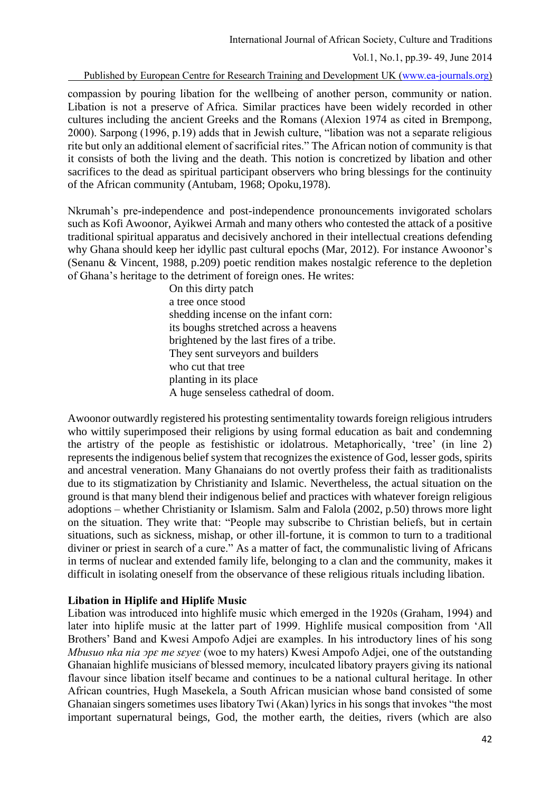International Journal of African Society, Culture and Traditions

Vol.1, No.1, pp.39- 49, June 2014

Published by European Centre for Research Training and Development UK [\(www.ea-journals.org\)](http://www.ea-journals.org/)

compassion by pouring libation for the wellbeing of another person, community or nation. Libation is not a preserve of Africa. Similar practices have been widely recorded in other cultures including the ancient Greeks and the Romans (Alexion 1974 as cited in Brempong, 2000). Sarpong (1996, p.19) adds that in Jewish culture, "libation was not a separate religious rite but only an additional element of sacrificial rites." The African notion of community is that it consists of both the living and the death. This notion is concretized by libation and other sacrifices to the dead as spiritual participant observers who bring blessings for the continuity of the African community (Antubam, 1968; Opoku,1978).

Nkrumah's pre-independence and post-independence pronouncements invigorated scholars such as Kofi Awoonor, Ayikwei Armah and many others who contested the attack of a positive traditional spiritual apparatus and decisively anchored in their intellectual creations defending why Ghana should keep her idyllic past cultural epochs (Mar, 2012). For instance Awoonor's (Senanu & Vincent, 1988, p.209) poetic rendition makes nostalgic reference to the depletion of Ghana's heritage to the detriment of foreign ones. He writes:

On this dirty patch a tree once stood shedding incense on the infant corn: its boughs stretched across a heavens brightened by the last fires of a tribe. They sent surveyors and builders who cut that tree planting in its place A huge senseless cathedral of doom.

Awoonor outwardly registered his protesting sentimentality towards foreign religious intruders who wittily superimposed their religions by using formal education as bait and condemning the artistry of the people as festishistic or idolatrous. Metaphorically, 'tree' (in line 2) represents the indigenous belief system that recognizes the existence of God, lesser gods, spirits and ancestral veneration. Many Ghanaians do not overtly profess their faith as traditionalists due to its stigmatization by Christianity and Islamic. Nevertheless, the actual situation on the ground is that many blend their indigenous belief and practices with whatever foreign religious adoptions – whether Christianity or Islamism. Salm and Falola (2002, p.50) throws more light on the situation. They write that: "People may subscribe to Christian beliefs, but in certain situations, such as sickness, mishap, or other ill-fortune, it is common to turn to a traditional diviner or priest in search of a cure." As a matter of fact, the communalistic living of Africans in terms of nuclear and extended family life, belonging to a clan and the community, makes it difficult in isolating oneself from the observance of these religious rituals including libation.

# **Libation in Hiplife and Hiplife Music**

Libation was introduced into highlife music which emerged in the 1920s (Graham, 1994) and later into hiplife music at the latter part of 1999. Highlife musical composition from 'All Brothers' Band and Kwesi Ampofo Adjei are examples. In his introductory lines of his song *Mbusuo nka nia*  $\alpha$  *<i>pε me sɛγeɛ* (woe to my haters) Kwesi Ampofo Adjei, one of the outstanding Ghanaian highlife musicians of blessed memory, inculcated libatory prayers giving its national flavour since libation itself became and continues to be a national cultural heritage. In other African countries, Hugh Masekela, a South African musician whose band consisted of some Ghanaian singers sometimes uses libatory Twi (Akan) lyrics in his songs that invokes "the most important supernatural beings, God, the mother earth, the deities, rivers (which are also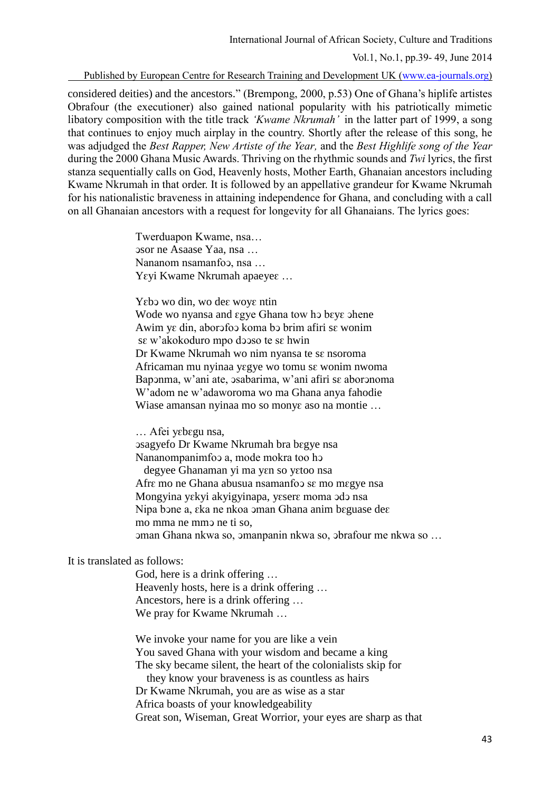International Journal of African Society, Culture and Traditions

Vol.1, No.1, pp.39- 49, June 2014

Published by European Centre for Research Training and Development UK [\(www.ea-journals.org\)](http://www.ea-journals.org/)

considered deities) and the ancestors." (Brempong, 2000, p.53) One of Ghana's hiplife artistes Obrafour (the executioner) also gained national popularity with his patriotically mimetic libatory composition with the title track *'Kwame Nkrumah'* in the latter part of 1999, a song that continues to enjoy much airplay in the country. Shortly after the release of this song, he was adjudged the *Best Rapper, New Artiste of the Year,* and the *Best Highlife song of the Year*  during the 2000 Ghana Music Awards. Thriving on the rhythmic sounds and *Twi* lyrics, the first stanza sequentially calls on God, Heavenly hosts, Mother Earth, Ghanaian ancestors including Kwame Nkrumah in that order. It is followed by an appellative grandeur for Kwame Nkrumah for his nationalistic braveness in attaining independence for Ghana, and concluding with a call on all Ghanaian ancestors with a request for longevity for all Ghanaians. The lyrics goes:

> Twerduapon Kwame, nsa… ͻsor ne Asaase Yaa, nsa … Nananom nsamanfoɔ, nsa ... Yεγi Kwame Nkrumah apaeyeε ...

Yεb wo din, wo deε woyε ntin Wode wo nyansa and εgye Ghana tow hο bενε ohene Awim yԑ din, aborͻfoͻ koma bͻ brim afiri sԑ wonim sԑ w'akokoduro mpo dͻͻso te sԑ hwin Dr Kwame Nkrumah wo nim nyansa te sa nsoroma Africaman mu nyinaa yɛgye wo tomu sɛ wonim nwoma Baponma, w'ani ate, osabarima, w'ani afiri sɛ aboronoma W'adom ne w'adaworoma wo ma Ghana anya fahodie Wiase amansan nyinaa mo so monye aso na montie ...

… Afei yԑbԑgu nsa,

ͻsagyefo Dr Kwame Nkrumah bra bԑgye nsa Nananompanimfoo a, mode mokra too ho degyee Ghanaman yi ma yen so yetoo nsa Afrε mo ne Ghana abusua nsamanfo sε mo mεgye nsa Mongyina yεkyi akyigyinapa, yεserε moma odo nsa Nipa bɔne a, ɛka ne nkoa ɔman Ghana anim bɛguase deɛ mo mma ne mm ne ti so. ͻman Ghana nkwa so, ͻmanpanin nkwa so, ͻbrafour me nkwa so …

It is translated as follows:

God, here is a drink offering … Heavenly hosts, here is a drink offering … Ancestors, here is a drink offering … We pray for Kwame Nkrumah …

We invoke your name for you are like a vein You saved Ghana with your wisdom and became a king The sky became silent, the heart of the colonialists skip for they know your braveness is as countless as hairs

Dr Kwame Nkrumah, you are as wise as a star Africa boasts of your knowledgeability Great son, Wiseman, Great Worrior, your eyes are sharp as that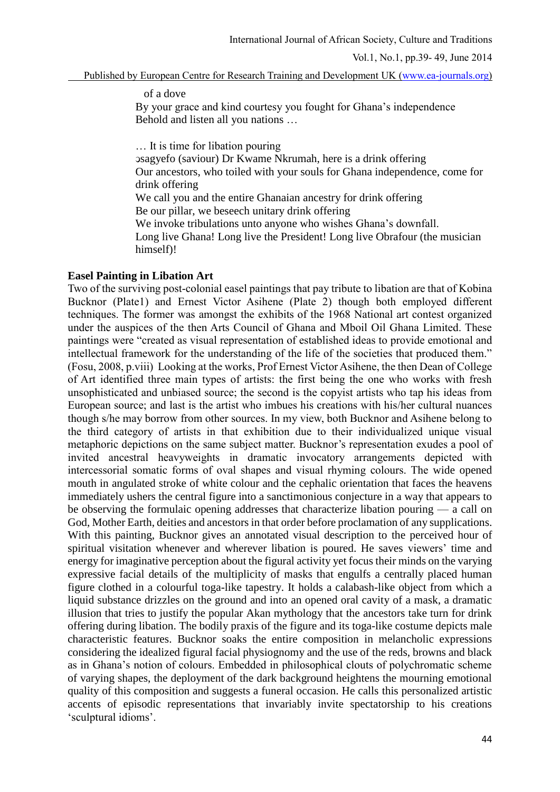Published by European Centre for Research Training and Development UK [\(www.ea-journals.org\)](http://www.ea-journals.org/)

of a dove

By your grace and kind courtesy you fought for Ghana's independence Behold and listen all you nations …

… It is time for libation pouring

ͻsagyefo (saviour) Dr Kwame Nkrumah, here is a drink offering Our ancestors, who toiled with your souls for Ghana independence, come for drink offering We call you and the entire Ghanaian ancestry for drink offering

Be our pillar, we beseech unitary drink offering

We invoke tribulations unto anyone who wishes Ghana's downfall.

Long live Ghana! Long live the President! Long live Obrafour (the musician himself)!

# **Easel Painting in Libation Art**

Two of the surviving post-colonial easel paintings that pay tribute to libation are that of Kobina Bucknor (Plate1) and Ernest Victor Asihene (Plate 2) though both employed different techniques. The former was amongst the exhibits of the 1968 National art contest organized under the auspices of the then Arts Council of Ghana and Mboil Oil Ghana Limited. These paintings were "created as visual representation of established ideas to provide emotional and intellectual framework for the understanding of the life of the societies that produced them." (Fosu, 2008, p.viii) Looking at the works, Prof Ernest Victor Asihene, the then Dean of College of Art identified three main types of artists: the first being the one who works with fresh unsophisticated and unbiased source; the second is the copyist artists who tap his ideas from European source; and last is the artist who imbues his creations with his/her cultural nuances though s/he may borrow from other sources. In my view, both Bucknor and Asihene belong to the third category of artists in that exhibition due to their individualized unique visual metaphoric depictions on the same subject matter. Bucknor's representation exudes a pool of invited ancestral heavyweights in dramatic invocatory arrangements depicted with intercessorial somatic forms of oval shapes and visual rhyming colours. The wide opened mouth in angulated stroke of white colour and the cephalic orientation that faces the heavens immediately ushers the central figure into a sanctimonious conjecture in a way that appears to be observing the formulaic opening addresses that characterize libation pouring — a call on God, Mother Earth, deities and ancestors in that order before proclamation of any supplications. With this painting, Bucknor gives an annotated visual description to the perceived hour of spiritual visitation whenever and wherever libation is poured. He saves viewers' time and energy for imaginative perception about the figural activity yet focus their minds on the varying expressive facial details of the multiplicity of masks that engulfs a centrally placed human figure clothed in a colourful toga-like tapestry. It holds a calabash-like object from which a liquid substance drizzles on the ground and into an opened oral cavity of a mask, a dramatic illusion that tries to justify the popular Akan mythology that the ancestors take turn for drink offering during libation. The bodily praxis of the figure and its toga-like costume depicts male characteristic features. Bucknor soaks the entire composition in melancholic expressions considering the idealized figural facial physiognomy and the use of the reds, browns and black as in Ghana's notion of colours. Embedded in philosophical clouts of polychromatic scheme of varying shapes, the deployment of the dark background heightens the mourning emotional quality of this composition and suggests a funeral occasion. He calls this personalized artistic accents of episodic representations that invariably invite spectatorship to his creations 'sculptural idioms'.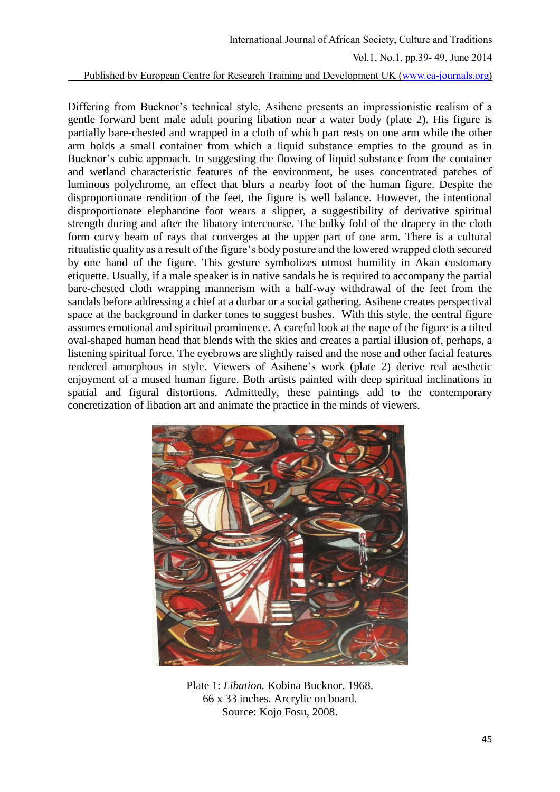Published by European Centre for Research Training and Development UK [\(www.ea-journals.org\)](http://www.ea-journals.org/)

Differing from Bucknor's technical style, Asihene presents an impressionistic realism of a gentle forward bent male adult pouring libation near a water body (plate 2). His figure is partially bare-chested and wrapped in a cloth of which part rests on one arm while the other arm holds a small container from which a liquid substance empties to the ground as in Bucknor's cubic approach. In suggesting the flowing of liquid substance from the container and wetland characteristic features of the environment, he uses concentrated patches of luminous polychrome, an effect that blurs a nearby foot of the human figure. Despite the disproportionate rendition of the feet, the figure is well balance. However, the intentional disproportionate elephantine foot wears a slipper, a suggestibility of derivative spiritual strength during and after the libatory intercourse. The bulky fold of the drapery in the cloth form curvy beam of rays that converges at the upper part of one arm. There is a cultural ritualistic quality as a result of the figure's body posture and the lowered wrapped cloth secured by one hand of the figure. This gesture symbolizes utmost humility in Akan customary etiquette. Usually, if a male speaker is in native sandals he is required to accompany the partial bare-chested cloth wrapping mannerism with a half-way withdrawal of the feet from the sandals before addressing a chief at a durbar or a social gathering. Asihene creates perspectival space at the background in darker tones to suggest bushes. With this style, the central figure assumes emotional and spiritual prominence. A careful look at the nape of the figure is a tilted oval-shaped human head that blends with the skies and creates a partial illusion of, perhaps, a listening spiritual force. The eyebrows are slightly raised and the nose and other facial features rendered amorphous in style. Viewers of Asihene's work (plate 2) derive real aesthetic enjoyment of a mused human figure. Both artists painted with deep spiritual inclinations in spatial and figural distortions. Admittedly, these paintings add to the contemporary concretization of libation art and animate the practice in the minds of viewers.



Plate 1: *Libation.* Kobina Bucknor. 1968. 66 x 33 inches. Arcrylic on board. Source: Kojo Fosu, 2008.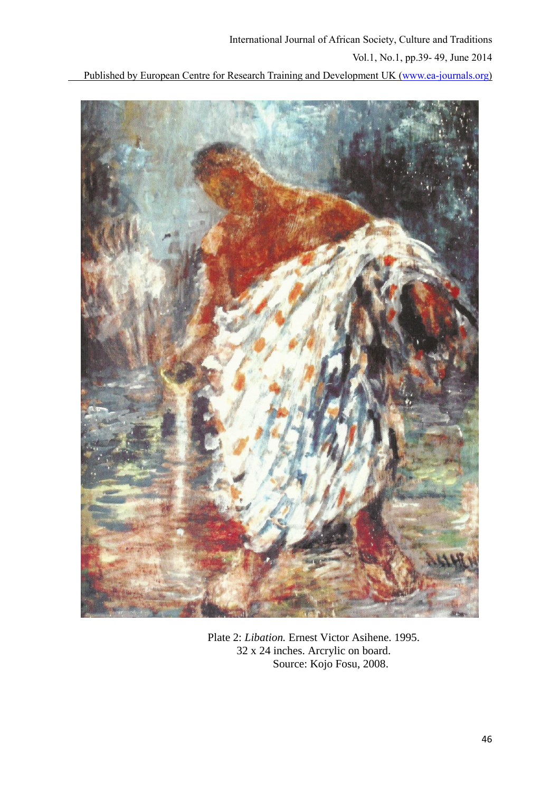Published by European Centre for Research Training and Development UK [\(www.ea-journals.org\)](http://www.ea-journals.org/)



Plate 2: *Libation.* Ernest Victor Asihene. 1995. 32 x 24 inches. Arcrylic on board. Source: Kojo Fosu, 2008.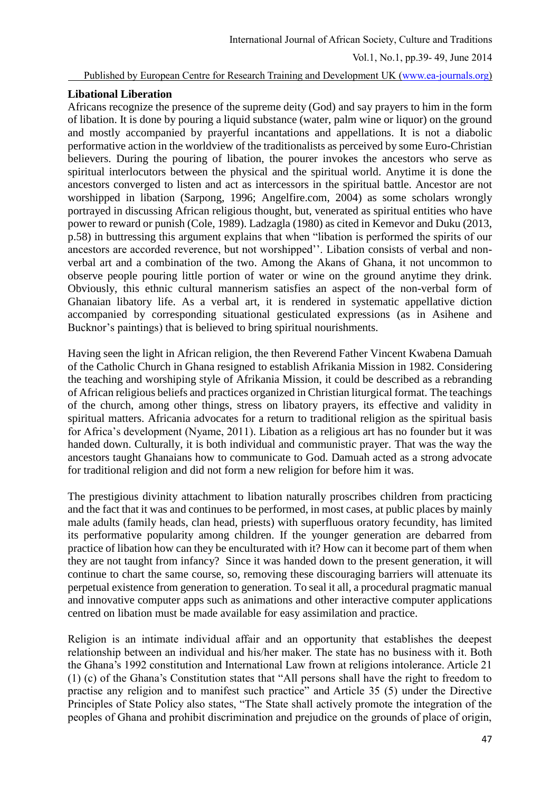Published by European Centre for Research Training and Development UK [\(www.ea-journals.org\)](http://www.ea-journals.org/)

## **Libational Liberation**

Africans recognize the presence of the supreme deity (God) and say prayers to him in the form of libation. It is done by pouring a liquid substance (water, palm wine or liquor) on the ground and mostly accompanied by prayerful incantations and appellations. It is not a diabolic performative action in the worldview of the traditionalists as perceived by some Euro-Christian believers. During the pouring of libation, the pourer invokes the ancestors who serve as spiritual interlocutors between the physical and the spiritual world. Anytime it is done the ancestors converged to listen and act as intercessors in the spiritual battle. Ancestor are not worshipped in libation (Sarpong, 1996; Angelfire.com, 2004) as some scholars wrongly portrayed in discussing African religious thought, but, venerated as spiritual entities who have power to reward or punish (Cole, 1989). Ladzagla (1980) as cited in Kemevor and Duku (2013, p.58) in buttressing this argument explains that when "libation is performed the spirits of our ancestors are accorded reverence, but not worshipped''. Libation consists of verbal and nonverbal art and a combination of the two. Among the Akans of Ghana, it not uncommon to observe people pouring little portion of water or wine on the ground anytime they drink. Obviously, this ethnic cultural mannerism satisfies an aspect of the non-verbal form of Ghanaian libatory life. As a verbal art, it is rendered in systematic appellative diction accompanied by corresponding situational gesticulated expressions (as in Asihene and Bucknor's paintings) that is believed to bring spiritual nourishments.

Having seen the light in African religion, the then Reverend Father Vincent Kwabena Damuah of the Catholic Church in Ghana resigned to establish Afrikania Mission in 1982. Considering the teaching and worshiping style of Afrikania Mission, it could be described as a rebranding of African religious beliefs and practices organized in Christian liturgical format. The teachings of the church, among other things, stress on libatory prayers, its effective and validity in spiritual matters. Africania advocates for a return to traditional religion as the spiritual basis for Africa's development (Nyame, 2011). Libation as a religious art has no founder but it was handed down. Culturally, it is both individual and communistic prayer. That was the way the ancestors taught Ghanaians how to communicate to God. Damuah acted as a strong advocate for traditional religion and did not form a new religion for before him it was.

The prestigious divinity attachment to libation naturally proscribes children from practicing and the fact that it was and continues to be performed, in most cases, at public places by mainly male adults (family heads, clan head, priests) with superfluous oratory fecundity, has limited its performative popularity among children. If the younger generation are debarred from practice of libation how can they be enculturated with it? How can it become part of them when they are not taught from infancy? Since it was handed down to the present generation, it will continue to chart the same course, so, removing these discouraging barriers will attenuate its perpetual existence from generation to generation. To seal it all, a procedural pragmatic manual and innovative computer apps such as animations and other interactive computer applications centred on libation must be made available for easy assimilation and practice.

Religion is an intimate individual affair and an opportunity that establishes the deepest relationship between an individual and his/her maker. The state has no business with it. Both the Ghana's 1992 constitution and International Law frown at religions intolerance. Article 21 (1) (c) of the Ghana's Constitution states that "All persons shall have the right to freedom to practise any religion and to manifest such practice" and Article 35 (5) under the Directive Principles of State Policy also states, "The State shall actively promote the integration of the peoples of Ghana and prohibit discrimination and prejudice on the grounds of place of origin,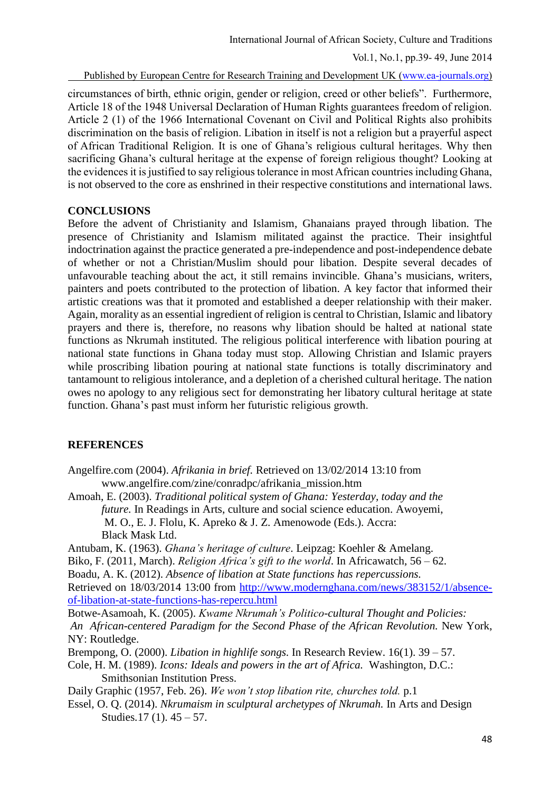Published by European Centre for Research Training and Development UK [\(www.ea-journals.org\)](http://www.ea-journals.org/)

circumstances of birth, ethnic origin, gender or religion, creed or other beliefs". Furthermore, Article 18 of the 1948 Universal Declaration of Human Rights guarantees freedom of religion. Article 2 (1) of the 1966 International Covenant on Civil and Political Rights also prohibits discrimination on the basis of religion. Libation in itself is not a religion but a prayerful aspect of African Traditional Religion. It is one of Ghana's religious cultural heritages. Why then sacrificing Ghana's cultural heritage at the expense of foreign religious thought? Looking at the evidences it is justified to say religious tolerance in most African countries including Ghana, is not observed to the core as enshrined in their respective constitutions and international laws.

## **CONCLUSIONS**

Before the advent of Christianity and Islamism, Ghanaians prayed through libation. The presence of Christianity and Islamism militated against the practice. Their insightful indoctrination against the practice generated a pre-independence and post-independence debate of whether or not a Christian/Muslim should pour libation. Despite several decades of unfavourable teaching about the act, it still remains invincible. Ghana's musicians, writers, painters and poets contributed to the protection of libation. A key factor that informed their artistic creations was that it promoted and established a deeper relationship with their maker. Again, morality as an essential ingredient of religion is central to Christian, Islamic and libatory prayers and there is, therefore, no reasons why libation should be halted at national state functions as Nkrumah instituted. The religious political interference with libation pouring at national state functions in Ghana today must stop. Allowing Christian and Islamic prayers while proscribing libation pouring at national state functions is totally discriminatory and tantamount to religious intolerance, and a depletion of a cherished cultural heritage. The nation owes no apology to any religious sect for demonstrating her libatory cultural heritage at state function. Ghana's past must inform her futuristic religious growth.

# **REFERENCES**

- Angelfire.com (2004). *Afrikania in brief.* Retrieved on 13/02/2014 13:10 from www.angelfire.com/zine/conradpc/afrikania\_mission.htm
- Amoah, E. (2003). *Traditional political system of Ghana: Yesterday, today and the future.* In Readings in Arts, culture and social science education. Awoyemi, M. O., E. J. Flolu, K. Apreko & J. Z. Amenowode (Eds.). Accra:

Black Mask Ltd.

Antubam, K. (1963). *Ghana's heritage of culture*. Leipzag: Koehler & Amelang. Biko, F. (2011, March). *Religion Africa's gift to the world*. In Africawatch*,* 56 – 62.

Boadu, A. K. (2012). *Absence of libation at State functions has repercussions.*

Retrieved on 18/03/2014 13:00 from [http://www.modernghana.com/news/383152/1/absence](http://www.modernghana.com/news/383152/1/absence-of-libation-at-state-functions-has-repercu.html)[of-libation-at-state-functions-has-repercu.html](http://www.modernghana.com/news/383152/1/absence-of-libation-at-state-functions-has-repercu.html)

Botwe-Asamoah, K. (2005). *Kwame Nkrumah's Politico-cultural Thought and Policies: An African-centered Paradigm for the Second Phase of the African Revolution.* New York, NY: Routledge.

- Brempong, O. (2000). *Libation in highlife songs.* In Research Review. 16(1). 39 57.
- Cole, H. M. (1989). *Icons: Ideals and powers in the art of Africa.* Washington, D.C.: Smithsonian Institution Press.
- Daily Graphic (1957, Feb. 26). *We won't stop libation rite, churches told.* p.1
- Essel, O. Q. (2014). *Nkrumaism in sculptural archetypes of Nkrumah.* In Arts and Design Studies*.*17 (1). 45 – 57.